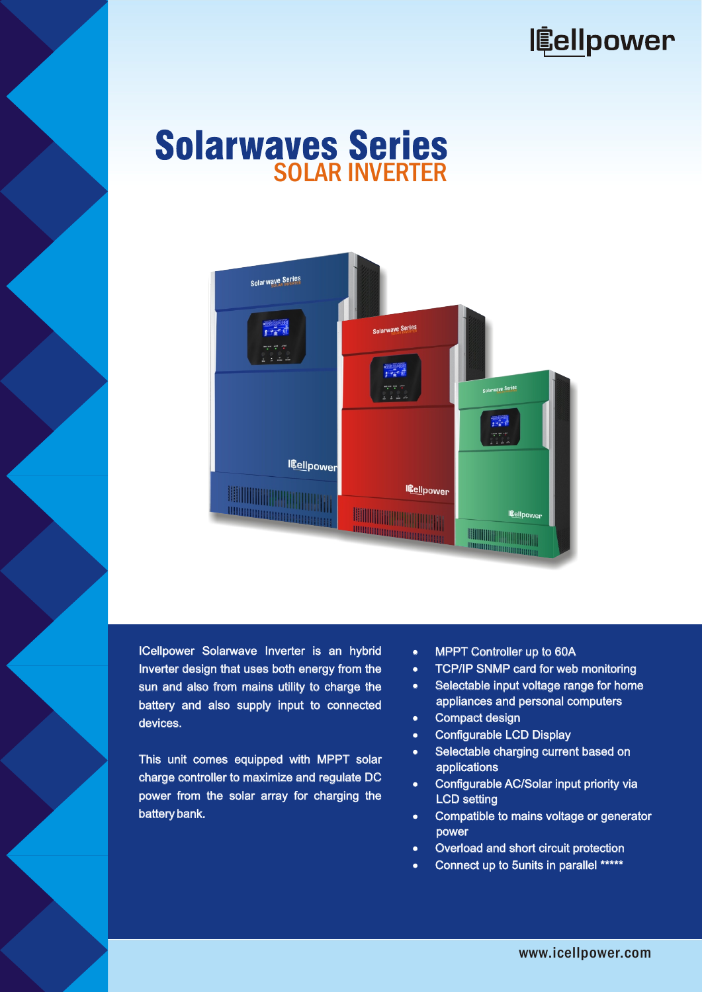

## **Solarwaves Series**



ICellpower Solarwave Inverter is an hybrid Inverter design that uses both energy from the sun and also from mains utility to charge the battery and also supply input to connected devices. s an hybrid <br>
Internal Controller up to 60A<br>
Internal Connected Property Connected Property Connected Property<br>
Compact design<br>
MPPT solar<br>
MPPT solar<br>
Configurable LCD Display<br>
MPPT solar<br>
Configurable LCD Display<br>
Config

This unit comes equipped with MPPT solar charge controller to maximize and regulate DC power from the solar array for charging the battery bank.

- **MPPT Controller up to 60A**
- TCP/IP SNMP card for web monitoring
- Selectable input voltage range for home appliances and personal computers
- Compact design
- Configurable LCD Display
- Selectable charging current based on applications
- Configurable AC/Solar input priority via LCD setting
- Compatible to mains voltage or generator power
- Overload and short circuit protection
- Connect up to 5units in parallel \*\*\*\*\*